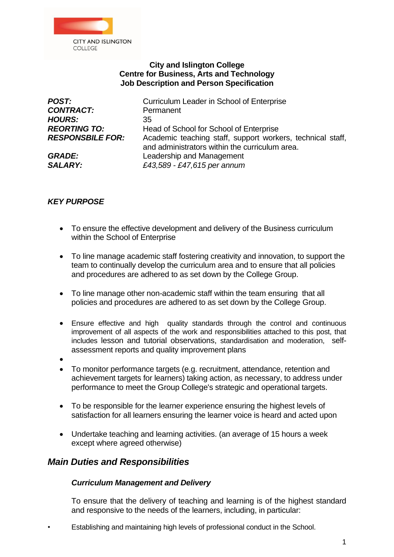

#### **City and Islington College Centre for Business, Arts and Technology Job Description and Person Specification**

| <b>POST:</b>            | Curriculum Leader in School of Enterprise                                                                    |
|-------------------------|--------------------------------------------------------------------------------------------------------------|
| <b>CONTRACT:</b>        | Permanent                                                                                                    |
| <b>HOURS:</b>           | 35                                                                                                           |
| <b>REORTING TO:</b>     | Head of School for School of Enterprise                                                                      |
| <b>RESPONSBILE FOR:</b> | Academic teaching staff, support workers, technical staff,<br>and administrators within the curriculum area. |
| <b>GRADE:</b>           | Leadership and Management                                                                                    |
| <b>SALARY:</b>          | £43,589 - £47,615 per annum                                                                                  |

# *KEY PURPOSE*

- To ensure the effective development and delivery of the Business curriculum within the School of Enterprise
- To line manage academic staff fostering creativity and innovation, to support the team to continually develop the curriculum area and to ensure that all policies and procedures are adhered to as set down by the College Group.
- To line manage other non-academic staff within the team ensuring that all policies and procedures are adhered to as set down by the College Group.
- Ensure effective and high quality standards through the control and continuous improvement of all aspects of the work and responsibilities attached to this post, that includes lesson and tutorial observations, standardisation and moderation, selfassessment reports and quality improvement plans
- •
- To monitor performance targets (e.g. recruitment, attendance, retention and achievement targets for learners) taking action, as necessary, to address under performance to meet the Group College's strategic and operational targets.
- To be responsible for the learner experience ensuring the highest levels of satisfaction for all learners ensuring the learner voice is heard and acted upon
- Undertake teaching and learning activities. (an average of 15 hours a week except where agreed otherwise)

# *Main Duties and Responsibilities*

## *Curriculum Management and Delivery*

To ensure that the delivery of teaching and learning is of the highest standard and responsive to the needs of the learners, including, in particular:

• Establishing and maintaining high levels of professional conduct in the School.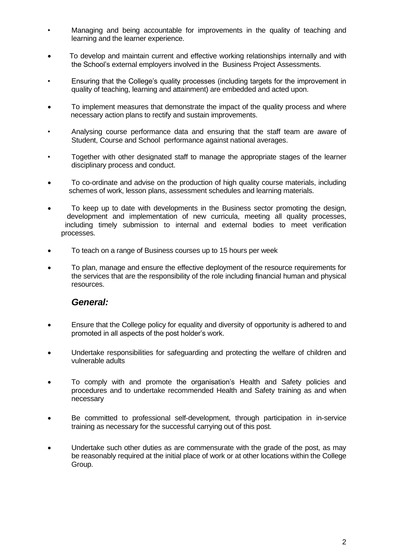- Managing and being accountable for improvements in the quality of teaching and learning and the learner experience.
- To develop and maintain current and effective working relationships internally and with the School's external employers involved in the Business Project Assessments.
- Ensuring that the College's quality processes (including targets for the improvement in quality of teaching, learning and attainment) are embedded and acted upon.
- To implement measures that demonstrate the impact of the quality process and where necessary action plans to rectify and sustain improvements.
- Analysing course performance data and ensuring that the staff team are aware of Student, Course and School performance against national averages.
- Together with other designated staff to manage the appropriate stages of the learner disciplinary process and conduct.
- To co-ordinate and advise on the production of high quality course materials, including schemes of work, lesson plans, assessment schedules and learning materials.
- To keep up to date with developments in the Business sector promoting the design, development and implementation of new curricula, meeting all quality processes, including timely submission to internal and external bodies to meet verification processes.
- To teach on a range of Business courses up to 15 hours per week
- To plan, manage and ensure the effective deployment of the resource requirements for the services that are the responsibility of the role including financial human and physical resources.

## *General:*

- Ensure that the College policy for equality and diversity of opportunity is adhered to and promoted in all aspects of the post holder's work.
- Undertake responsibilities for safeguarding and protecting the welfare of children and vulnerable adults
- To comply with and promote the organisation's Health and Safety policies and procedures and to undertake recommended Health and Safety training as and when necessary
- Be committed to professional self-development, through participation in in-service training as necessary for the successful carrying out of this post.
- Undertake such other duties as are commensurate with the grade of the post, as may be reasonably required at the initial place of work or at other locations within the College Group.